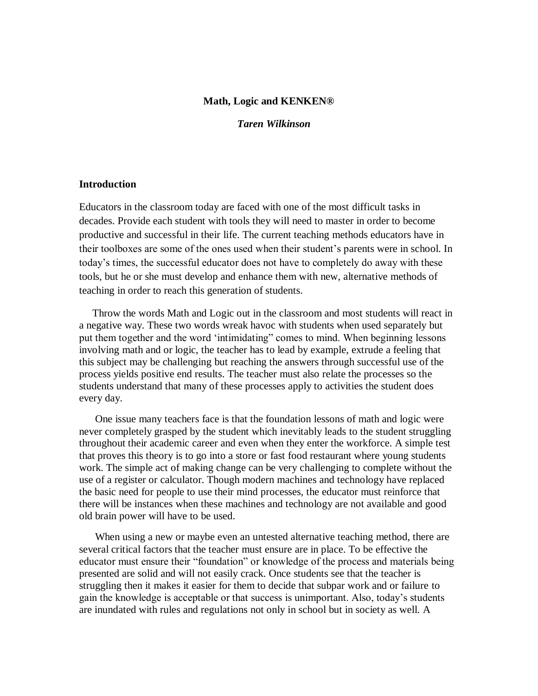#### **Math, Logic and KENKEN®**

 *Taren Wilkinson*

## **Introduction**

Educators in the classroom today are faced with one of the most difficult tasks in decades. Provide each student with tools they will need to master in order to become productive and successful in their life. The current teaching methods educators have in their toolboxes are some of the ones used when their student"s parents were in school. In today"s times, the successful educator does not have to completely do away with these tools, but he or she must develop and enhance them with new, alternative methods of teaching in order to reach this generation of students.

 Throw the words Math and Logic out in the classroom and most students will react in a negative way. These two words wreak havoc with students when used separately but put them together and the word "intimidating" comes to mind. When beginning lessons involving math and or logic, the teacher has to lead by example, extrude a feeling that this subject may be challenging but reaching the answers through successful use of the process yields positive end results. The teacher must also relate the processes so the students understand that many of these processes apply to activities the student does every day.

 One issue many teachers face is that the foundation lessons of math and logic were never completely grasped by the student which inevitably leads to the student struggling throughout their academic career and even when they enter the workforce. A simple test that proves this theory is to go into a store or fast food restaurant where young students work. The simple act of making change can be very challenging to complete without the use of a register or calculator. Though modern machines and technology have replaced the basic need for people to use their mind processes, the educator must reinforce that there will be instances when these machines and technology are not available and good old brain power will have to be used.

 When using a new or maybe even an untested alternative teaching method, there are several critical factors that the teacher must ensure are in place. To be effective the educator must ensure their "foundation" or knowledge of the process and materials being presented are solid and will not easily crack. Once students see that the teacher is struggling then it makes it easier for them to decide that subpar work and or failure to gain the knowledge is acceptable or that success is unimportant. Also, today"s students are inundated with rules and regulations not only in school but in society as well. A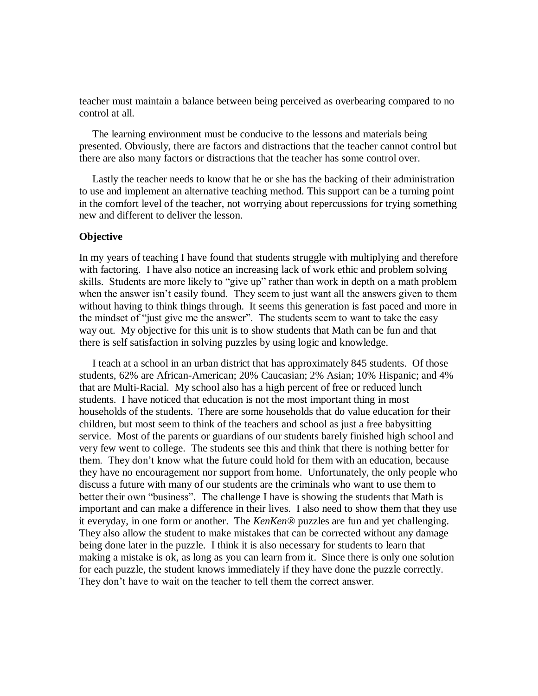teacher must maintain a balance between being perceived as overbearing compared to no control at all.

 The learning environment must be conducive to the lessons and materials being presented. Obviously, there are factors and distractions that the teacher cannot control but there are also many factors or distractions that the teacher has some control over.

 Lastly the teacher needs to know that he or she has the backing of their administration to use and implement an alternative teaching method. This support can be a turning point in the comfort level of the teacher, not worrying about repercussions for trying something new and different to deliver the lesson.

## **Objective**

In my years of teaching I have found that students struggle with multiplying and therefore with factoring. I have also notice an increasing lack of work ethic and problem solving skills. Students are more likely to "give up" rather than work in depth on a math problem when the answer isn't easily found. They seem to just want all the answers given to them without having to think things through. It seems this generation is fast paced and more in the mindset of "just give me the answer". The students seem to want to take the easy way out. My objective for this unit is to show students that Math can be fun and that there is self satisfaction in solving puzzles by using logic and knowledge.

 I teach at a school in an urban district that has approximately 845 students. Of those students, 62% are African-American; 20% Caucasian; 2% Asian; 10% Hispanic; and 4% that are Multi-Racial. My school also has a high percent of free or reduced lunch students. I have noticed that education is not the most important thing in most households of the students. There are some households that do value education for their children, but most seem to think of the teachers and school as just a free babysitting service. Most of the parents or guardians of our students barely finished high school and very few went to college. The students see this and think that there is nothing better for them. They don"t know what the future could hold for them with an education, because they have no encouragement nor support from home. Unfortunately, the only people who discuss a future with many of our students are the criminals who want to use them to better their own "business". The challenge I have is showing the students that Math is important and can make a difference in their lives. I also need to show them that they use it everyday, in one form or another. The *KenKen*® puzzles are fun and yet challenging. They also allow the student to make mistakes that can be corrected without any damage being done later in the puzzle. I think it is also necessary for students to learn that making a mistake is ok, as long as you can learn from it. Since there is only one solution for each puzzle, the student knows immediately if they have done the puzzle correctly. They don"t have to wait on the teacher to tell them the correct answer.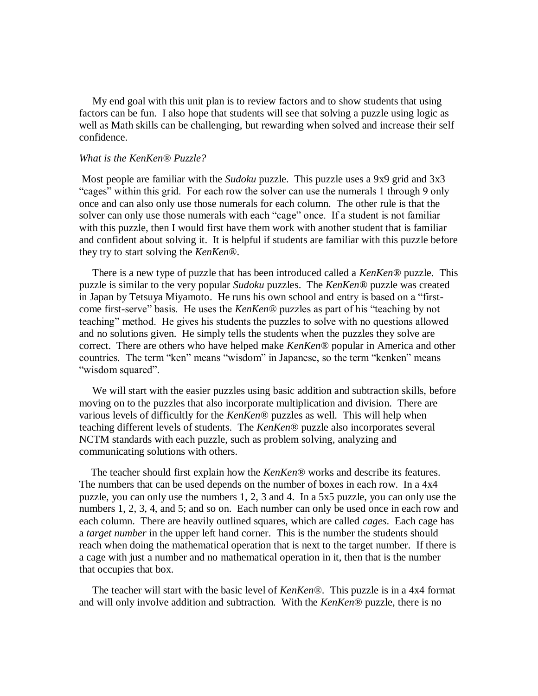My end goal with this unit plan is to review factors and to show students that using factors can be fun. I also hope that students will see that solving a puzzle using logic as well as Math skills can be challenging, but rewarding when solved and increase their self confidence.

#### *What is the KenKen® Puzzle?*

Most people are familiar with the *Sudoku* puzzle. This puzzle uses a 9x9 grid and 3x3 "cages" within this grid. For each row the solver can use the numerals 1 through 9 only once and can also only use those numerals for each column. The other rule is that the solver can only use those numerals with each "cage" once. If a student is not familiar with this puzzle, then I would first have them work with another student that is familiar and confident about solving it. It is helpful if students are familiar with this puzzle before they try to start solving the *KenKen*®.

 There is a new type of puzzle that has been introduced called a *KenKen®* puzzle. This puzzle is similar to the very popular *Sudoku* puzzles. The *KenKen®* puzzle was created in Japan by Tetsuya Miyamoto. He runs his own school and entry is based on a "firstcome first-serve" basis. He uses the *KenKen®* puzzles as part of his "teaching by not teaching" method. He gives his students the puzzles to solve with no questions allowed and no solutions given. He simply tells the students when the puzzles they solve are correct. There are others who have helped make *KenKen®* popular in America and other countries. The term "ken" means "wisdom" in Japanese, so the term "kenken" means "wisdom squared".

 We will start with the easier puzzles using basic addition and subtraction skills, before moving on to the puzzles that also incorporate multiplication and division. There are various levels of difficultly for the *KenKen®* puzzles as well. This will help when teaching different levels of students. The *KenKen®* puzzle also incorporates several NCTM standards with each puzzle, such as problem solving, analyzing and communicating solutions with others.

 The teacher should first explain how the *KenKen*® works and describe its features. The numbers that can be used depends on the number of boxes in each row. In a 4x4 puzzle, you can only use the numbers 1, 2, 3 and 4. In a 5x5 puzzle, you can only use the numbers 1, 2, 3, 4, and 5; and so on. Each number can only be used once in each row and each column. There are heavily outlined squares, which are called *cages*. Each cage has a *target number* in the upper left hand corner. This is the number the students should reach when doing the mathematical operation that is next to the target number. If there is a cage with just a number and no mathematical operation in it, then that is the number that occupies that box.

 The teacher will start with the basic level of *KenKen®*. This puzzle is in a 4x4 format and will only involve addition and subtraction. With the *KenKen*® puzzle, there is no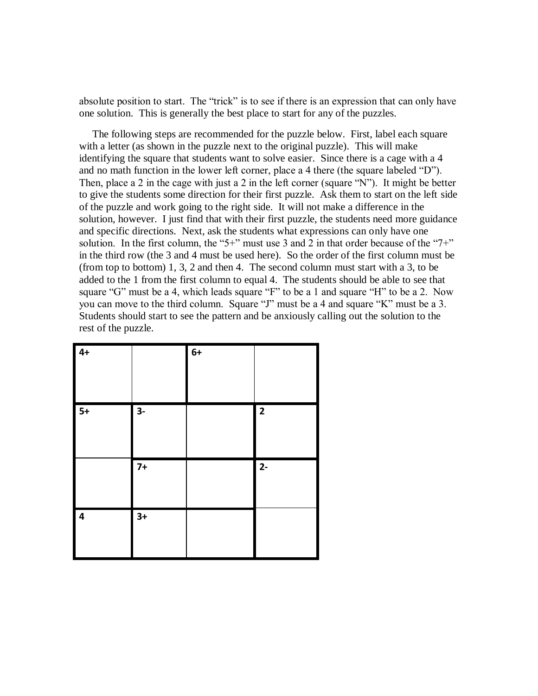absolute position to start. The "trick" is to see if there is an expression that can only have one solution. This is generally the best place to start for any of the puzzles.

 The following steps are recommended for the puzzle below. First, label each square with a letter (as shown in the puzzle next to the original puzzle). This will make identifying the square that students want to solve easier. Since there is a cage with a 4 and no math function in the lower left corner, place a 4 there (the square labeled "D"). Then, place a 2 in the cage with just a 2 in the left corner (square "N"). It might be better to give the students some direction for their first puzzle. Ask them to start on the left side of the puzzle and work going to the right side. It will not make a difference in the solution, however. I just find that with their first puzzle, the students need more guidance and specific directions. Next, ask the students what expressions can only have one solution. In the first column, the "5+" must use 3 and 2 in that order because of the "7+" in the third row (the 3 and 4 must be used here). So the order of the first column must be (from top to bottom) 1, 3, 2 and then 4. The second column must start with a 3, to be added to the 1 from the first column to equal 4. The students should be able to see that square "G" must be a 4, which leads square "F" to be a 1 and square "H" to be a 2. Now you can move to the third column. Square "J" must be a 4 and square "K" must be a 3. Students should start to see the pattern and be anxiously calling out the solution to the rest of the puzzle.

| $4+$             |      | $6+$ |                         |
|------------------|------|------|-------------------------|
| $5+$             | $3-$ |      | $\overline{\mathbf{2}}$ |
|                  | $7+$ |      | $2 -$                   |
| $\boldsymbol{4}$ | $3+$ |      |                         |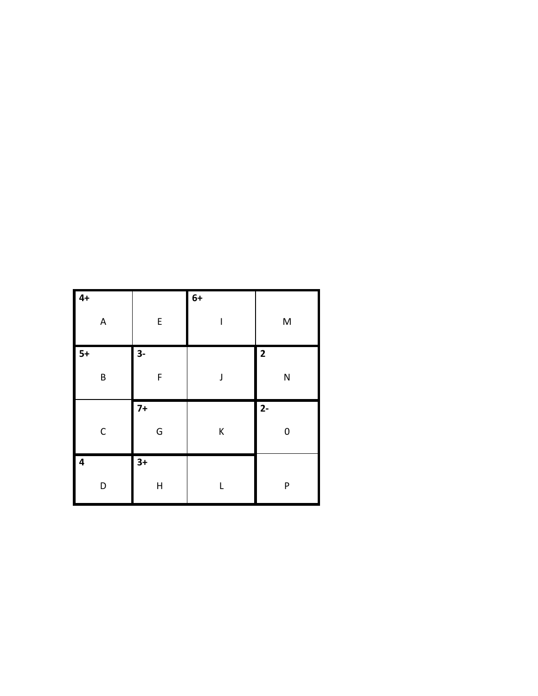| $4+$                      |              | $6+$ |                         |
|---------------------------|--------------|------|-------------------------|
| $\boldsymbol{\mathsf{A}}$ | ${\sf E}$    | I    | M                       |
| $5+$                      | $3-$         |      | $\overline{\mathbf{c}}$ |
| B                         | F            | J    | N                       |
|                           | $7+$         |      | $2 -$                   |
| $\mathsf C$               | G            | K    | 0                       |
| $\overline{\mathbf{4}}$   | $3+$         |      |                         |
| D                         | $\mathsf{H}$ | L    | P                       |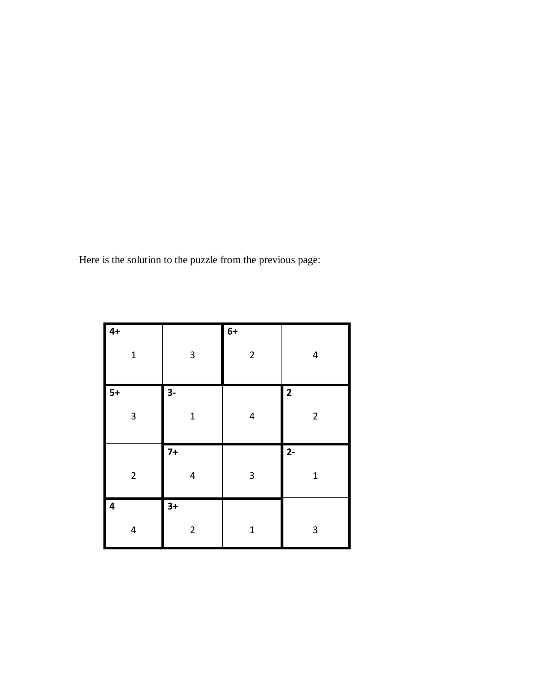Here is the solution to the puzzle from the previous page:

| $4+$           |                           | $6+$                      |                         |
|----------------|---------------------------|---------------------------|-------------------------|
| $\mathbf{1}$   | $\ensuremath{\mathsf{3}}$ | $\mathbf 2$               | 4                       |
| $\vert$ 5+     | $3-$                      |                           | $\overline{\mathbf{2}}$ |
| $\mathsf 3$    | $\mathbf{1}$              | $\overline{\mathbf{4}}$   | $\overline{2}$          |
|                | $7+$                      |                           | $2 -$                   |
| $\mathbf 2$    | 4                         | $\ensuremath{\mathsf{3}}$ | $\mathbf 1$             |
| $\overline{4}$ | $3+$                      |                           |                         |
| 4              | $\overline{\mathbf{c}}$   | $\mathbf 1$               | 3                       |

L,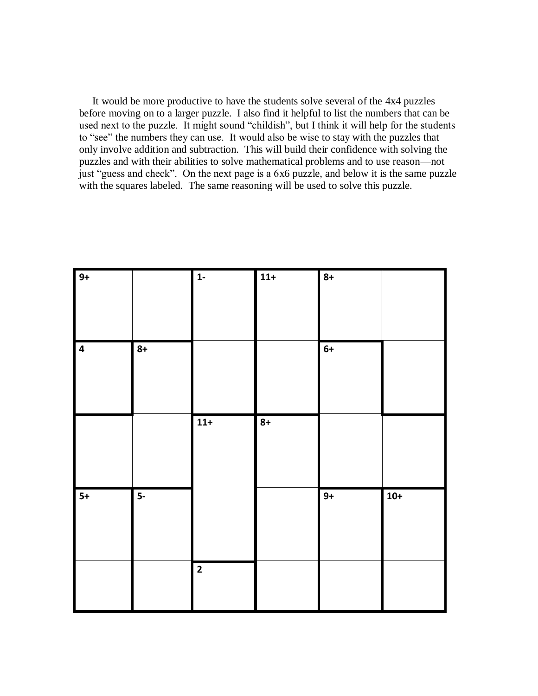It would be more productive to have the students solve several of the 4x4 puzzles before moving on to a larger puzzle. I also find it helpful to list the numbers that can be used next to the puzzle. It might sound "childish", but I think it will help for the students to "see" the numbers they can use. It would also be wise to stay with the puzzles that only involve addition and subtraction. This will build their confidence with solving the puzzles and with their abilities to solve mathematical problems and to use reason—not just "guess and check". On the next page is a 6x6 puzzle, and below it is the same puzzle with the squares labeled. The same reasoning will be used to solve this puzzle.

| $9+$           |                         | $\overline{1}$ | $11+$ | $8+$ |       |
|----------------|-------------------------|----------------|-------|------|-------|
| $\overline{4}$ | $8+$                    |                |       | $6+$ |       |
|                |                         | $11+$          | $8+$  |      |       |
| $5+$           | $\overline{\mathbf{5}}$ |                |       | $9+$ | $10+$ |
|                |                         | $\overline{2}$ |       |      |       |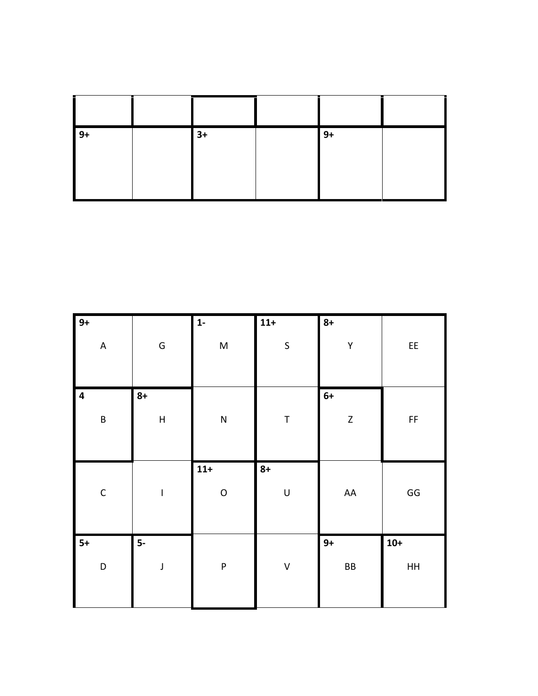| $\vert 9+$ | $3+$ | $9+$ |  |
|------------|------|------|--|
|            |      |      |  |

| $\overline{9}$ +          |                           | $\overline{1}$ | $11+$       | $8+$        |                        |
|---------------------------|---------------------------|----------------|-------------|-------------|------------------------|
| $\boldsymbol{\mathsf{A}}$ | ${\mathsf G}$             | M              | $\sf S$     | Υ           | EE                     |
| $\overline{4}$            | $8+$                      |                |             | $6+$        |                        |
| $\sf B$                   | $\boldsymbol{\mathsf{H}}$ | ${\sf N}$      | $\mathsf T$ | $\mathsf Z$ | $\mathsf{FF}% _{0}$    |
|                           |                           |                |             |             |                        |
|                           |                           | $11+$          | $8+$        |             |                        |
| $\mathsf C$               | I                         | $\circ$        | $\sf U$     | ${\sf AA}$  | $\mathsf{G}\mathsf{G}$ |
| $5+$                      | $5-$                      |                |             | $9+$        | $10+$                  |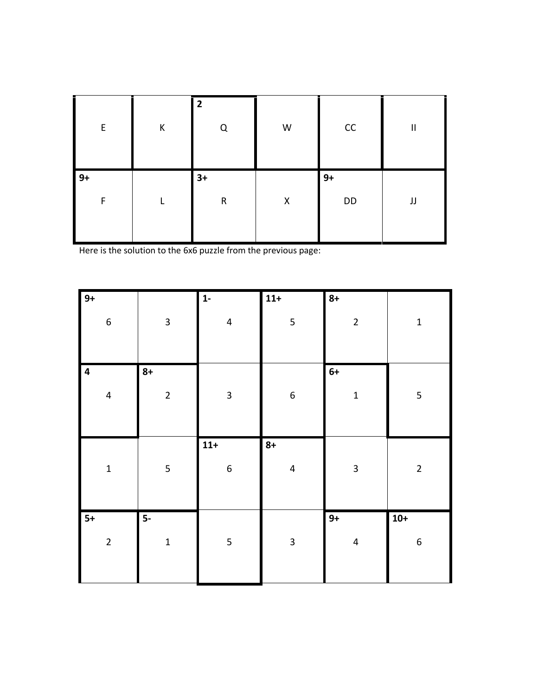| E         | К | $\overline{2}$<br>Q | W | CC         | $\mathbf{II}$ |
|-----------|---|---------------------|---|------------|---------------|
| $9+$<br>F |   | $3+$<br>$\mathsf R$ | X | $9+$<br>DD | JJ            |

Here is the solution to the 6x6 puzzle from the previous page:

| $9+$                                               |                         | $1 -$                     | $11+$                           | $8+$                    |             |
|----------------------------------------------------|-------------------------|---------------------------|---------------------------------|-------------------------|-------------|
| $\boldsymbol{6}$                                   | $\overline{\mathbf{3}}$ | $\overline{\mathbf{4}}$   | $\mathsf S$                     | $\overline{2}$          | $\mathbf 1$ |
| $\overline{\mathbf{4}}$<br>$\overline{\mathbf{4}}$ | $8+$<br>$\overline{c}$  | $\overline{\mathbf{3}}$   | $\boldsymbol{6}$                | $6+$<br>$\mathbf{1}$    | 5           |
| $\mathbf{1}$                                       | 5                       | $11+$<br>$\boldsymbol{6}$ | $8+$<br>$\overline{\mathbf{4}}$ | $\overline{\mathbf{3}}$ | $\mathbf 2$ |
|                                                    |                         |                           |                                 |                         |             |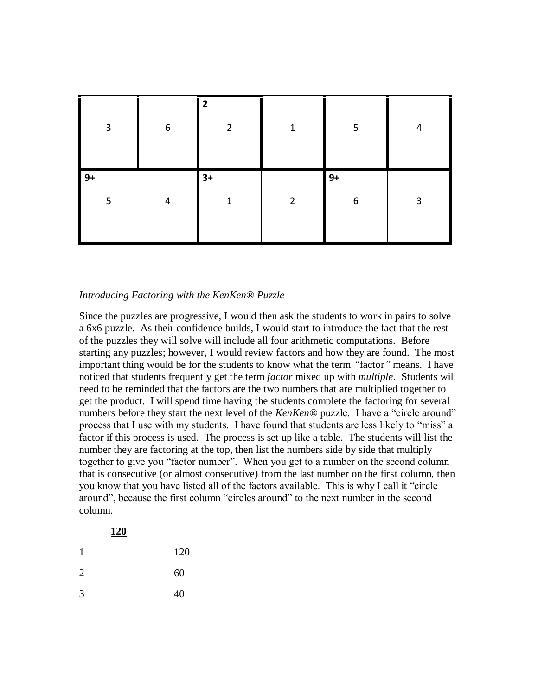| $\mathbf{3}$ | $\boldsymbol{6}$ | $\overline{2}$<br>2 | 1              | 5         | 4 |
|--------------|------------------|---------------------|----------------|-----------|---|
| $9+$<br>5    | 4                | $3+$<br>1           | $\overline{2}$ | $9+$<br>6 | 3 |

# *Introducing Factoring with the KenKen® Puzzle*

Since the puzzles are progressive, I would then ask the students to work in pairs to solve a 6x6 puzzle. As their confidence builds, I would start to introduce the fact that the rest of the puzzles they will solve will include all four arithmetic computations. Before starting any puzzles; however, I would review factors and how they are found. The most important thing would be for the students to know what the term *"*factor*"* means. I have noticed that students frequently get the term *factor* mixed up with *multiple*. Students will need to be reminded that the factors are the two numbers that are multiplied together to get the product. I will spend time having the students complete the factoring for several numbers before they start the next level of the *KenKen®* puzzle. I have a "circle around" process that I use with my students. I have found that students are less likely to "miss" a factor if this process is used. The process is set up like a table. The students will list the number they are factoring at the top, then list the numbers side by side that multiply together to give you "factor number". When you get to a number on the second column that is consecutive (or almost consecutive) from the last number on the first column, then you know that you have listed all of the factors available. This is why I call it "circle around", because the first column "circles around" to the next number in the second column.

|                | <u>120</u> |     |
|----------------|------------|-----|
| 1              |            | 120 |
| $\overline{2}$ |            | 60  |
| 3              |            | 40  |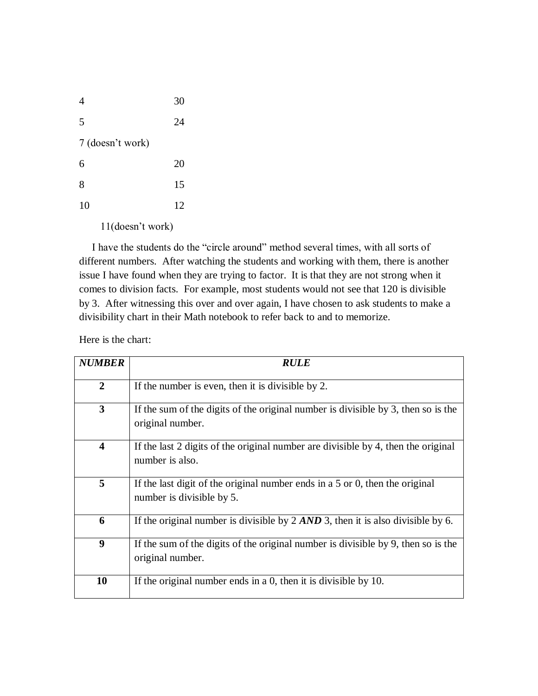| 4                | 30 |
|------------------|----|
| 5                | 24 |
| 7 (doesn't work) |    |
| 6                | 20 |
| 8                | 15 |
| 10               | 12 |
|                  |    |

11(doesn"t work)

 I have the students do the "circle around" method several times, with all sorts of different numbers. After watching the students and working with them, there is another issue I have found when they are trying to factor. It is that they are not strong when it comes to division facts. For example, most students would not see that 120 is divisible by 3. After witnessing this over and over again, I have chosen to ask students to make a divisibility chart in their Math notebook to refer back to and to memorize.

Here is the chart:

| <b>NUMBER</b>           | <b>RULE</b>                                                                                                 |
|-------------------------|-------------------------------------------------------------------------------------------------------------|
| $\overline{2}$          | If the number is even, then it is divisible by 2.                                                           |
| 3                       | If the sum of the digits of the original number is divisible by 3, then so is the<br>original number.       |
| $\overline{\mathbf{4}}$ | If the last 2 digits of the original number are divisible by 4, then the original<br>number is also.        |
| 5                       | If the last digit of the original number ends in a $5$ or 0, then the original<br>number is divisible by 5. |
| 6                       | If the original number is divisible by $2 \, AND \, 3$ , then it is also divisible by 6.                    |
| 9                       | If the sum of the digits of the original number is divisible by 9, then so is the<br>original number.       |
| 10                      | If the original number ends in a $0$ , then it is divisible by 10.                                          |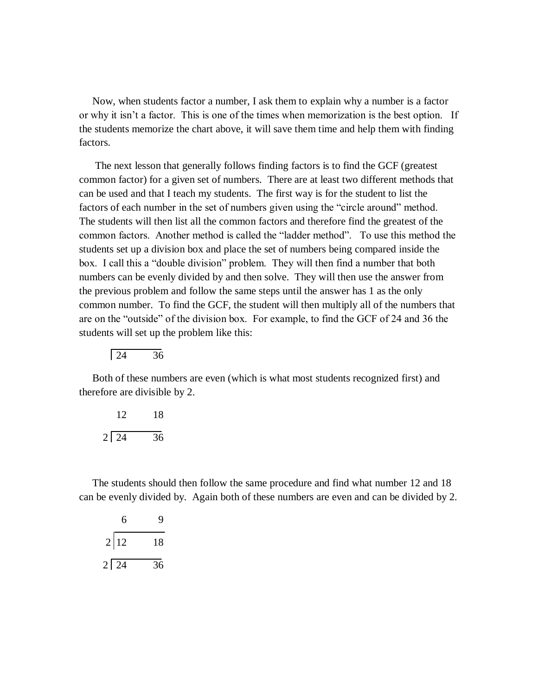Now, when students factor a number, I ask them to explain why a number is a factor or why it isn"t a factor. This is one of the times when memorization is the best option. If the students memorize the chart above, it will save them time and help them with finding factors.

 The next lesson that generally follows finding factors is to find the GCF (greatest common factor) for a given set of numbers. There are at least two different methods that can be used and that I teach my students. The first way is for the student to list the factors of each number in the set of numbers given using the "circle around" method. The students will then list all the common factors and therefore find the greatest of the common factors. Another method is called the "ladder method". To use this method the students set up a division box and place the set of numbers being compared inside the box. I call this a "double division" problem. They will then find a number that both numbers can be evenly divided by and then solve. They will then use the answer from the previous problem and follow the same steps until the answer has 1 as the only common number. To find the GCF, the student will then multiply all of the numbers that are on the "outside" of the division box. For example, to find the GCF of 24 and 36 the students will set up the problem like this:

$$
\boxed{24 \qquad 36}
$$

 Both of these numbers are even (which is what most students recognized first) and therefore are divisible by 2.

| 12.              | 18 |
|------------------|----|
| $2\overline{24}$ | 36 |

 The students should then follow the same procedure and find what number 12 and 18 can be evenly divided by. Again both of these numbers are even and can be divided by 2.

| 6           | 9  |
|-------------|----|
| 2 12        | 18 |
| $2 \mid 24$ | 36 |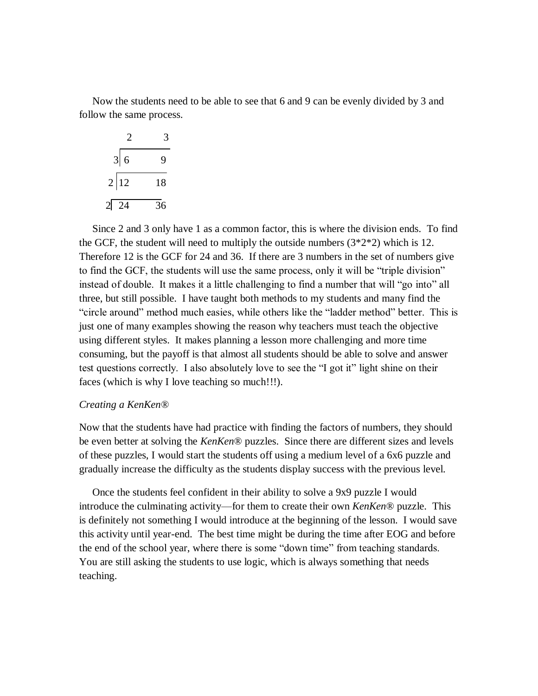Now the students need to be able to see that 6 and 9 can be evenly divided by 3 and follow the same process.

| 2    |    |
|------|----|
| 3 6  | 9  |
| 2 12 | 18 |
| 2 24 | 36 |

 Since 2 and 3 only have 1 as a common factor, this is where the division ends. To find the GCF, the student will need to multiply the outside numbers  $(3^*2^*2)$  which is 12. Therefore 12 is the GCF for 24 and 36. If there are 3 numbers in the set of numbers give to find the GCF, the students will use the same process, only it will be "triple division" instead of double. It makes it a little challenging to find a number that will "go into" all three, but still possible. I have taught both methods to my students and many find the "circle around" method much easies, while others like the "ladder method" better. This is just one of many examples showing the reason why teachers must teach the objective using different styles. It makes planning a lesson more challenging and more time consuming, but the payoff is that almost all students should be able to solve and answer test questions correctly. I also absolutely love to see the "I got it" light shine on their faces (which is why I love teaching so much!!!).

### *Creating a KenKen®*

Now that the students have had practice with finding the factors of numbers, they should be even better at solving the *KenKen*® puzzles. Since there are different sizes and levels of these puzzles, I would start the students off using a medium level of a 6x6 puzzle and gradually increase the difficulty as the students display success with the previous level.

 Once the students feel confident in their ability to solve a 9x9 puzzle I would introduce the culminating activity—for them to create their own *KenKen*® puzzle. This is definitely not something I would introduce at the beginning of the lesson. I would save this activity until year-end. The best time might be during the time after EOG and before the end of the school year, where there is some "down time" from teaching standards. You are still asking the students to use logic, which is always something that needs teaching.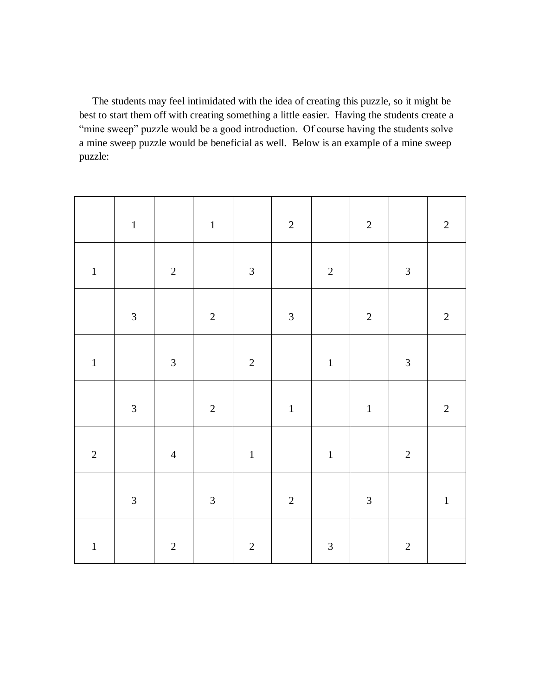The students may feel intimidated with the idea of creating this puzzle, so it might be best to start them off with creating something a little easier. Having the students create a "mine sweep" puzzle would be a good introduction. Of course having the students solve a mine sweep puzzle would be beneficial as well. Below is an example of a mine sweep puzzle:

|             | $\mathbf 1$    |                | $\,1\,$        |                | $\overline{c}$ |                | $\sqrt{2}$     |                | $\sqrt{2}$     |
|-------------|----------------|----------------|----------------|----------------|----------------|----------------|----------------|----------------|----------------|
| $\mathbf 1$ |                | $\sqrt{2}$     |                | $\mathfrak{Z}$ |                | $\sqrt{2}$     |                | $\mathfrak{Z}$ |                |
|             | $\mathfrak{Z}$ |                | $\sqrt{2}$     |                | $\mathfrak{Z}$ |                | $\sqrt{2}$     |                | $\overline{c}$ |
| $\,1\,$     |                | $\mathfrak{Z}$ |                | $\overline{c}$ |                | $\,1\,$        |                | $\mathfrak{Z}$ |                |
|             | $\mathfrak{Z}$ |                | $\sqrt{2}$     |                | $\mathbf 1$    |                | $\,1\,$        |                | $\overline{2}$ |
| $\sqrt{2}$  |                | $\overline{4}$ |                | $\,1\,$        |                | $\mathbf{1}$   |                | $\sqrt{2}$     |                |
|             | $\mathfrak{Z}$ |                | $\mathfrak{Z}$ |                | $\overline{c}$ |                | $\mathfrak{Z}$ |                | $\,1\,$        |
| $\,1\,$     |                | $\sqrt{2}$     |                | $\sqrt{2}$     |                | $\mathfrak{Z}$ |                | $\overline{c}$ |                |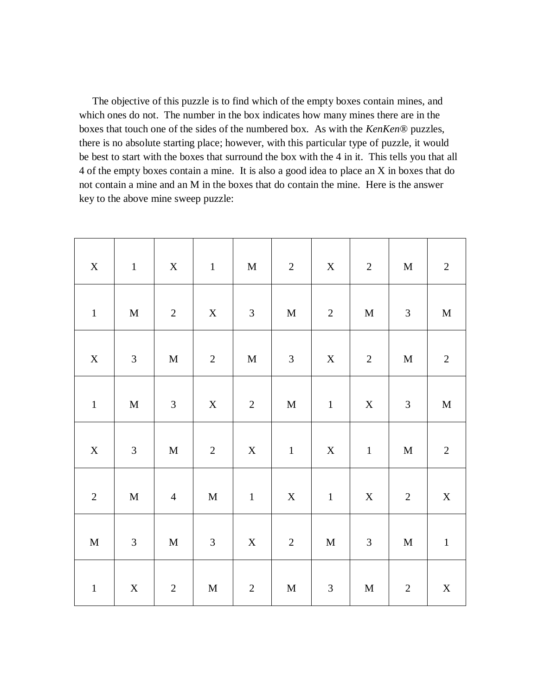The objective of this puzzle is to find which of the empty boxes contain mines, and which ones do not. The number in the box indicates how many mines there are in the boxes that touch one of the sides of the numbered box. As with the *KenKen*® puzzles, there is no absolute starting place; however, with this particular type of puzzle, it would be best to start with the boxes that surround the box with the 4 in it. This tells you that all 4 of the empty boxes contain a mine. It is also a good idea to place an X in boxes that do not contain a mine and an M in the boxes that do contain the mine. Here is the answer key to the above mine sweep puzzle:

| $\mathbf X$ | $\,1\,$        | $\mathbf X$    | $\,1\,$        | $\mathbf M$    | $\sqrt{2}$                  | $\mathbf X$    | $\sqrt{2}$     | $\mathbf M$    | $\sqrt{2}$     |
|-------------|----------------|----------------|----------------|----------------|-----------------------------|----------------|----------------|----------------|----------------|
| $\mathbf 1$ | $\mathbf M$    | $\overline{2}$ | $\mathbf X$    | $\mathfrak{Z}$ | $\mathbf M$                 | $\sqrt{2}$     | $\mathbf M$    | $\mathfrak{Z}$ | $\mathbf M$    |
| $\mathbf X$ | $\mathfrak{Z}$ | $\mathbf M$    | $\sqrt{2}$     | $\mathbf M$    | $\ensuremath{\mathfrak{Z}}$ | $\mathbf X$    | $\sqrt{2}$     | $\mathbf M$    | $\sqrt{2}$     |
| $\mathbf 1$ | $\mathbf M$    | $\mathfrak{Z}$ | $\mathbf X$    | $\overline{c}$ | $\mathbf M$                 | $\,1\,$        | $\mathbf X$    | $\mathfrak{Z}$ | $\mathbf M$    |
| $\mathbf X$ | $\mathfrak{Z}$ | $\mathbf M$    | $\sqrt{2}$     | $\mathbf X$    | $\mathbf 1$                 | $\mathbf X$    | $\mathbf 1$    | $\mathbf M$    | $\overline{2}$ |
| $\sqrt{2}$  | $\mathbf M$    | $\overline{4}$ | $\mathbf M$    | $\mathbf 1$    | $\mathbf X$                 | $\,1\,$        | $\mathbf X$    | $\sqrt{2}$     | $\mathbf X$    |
| $\mathbf M$ | $\mathfrak{Z}$ | $\mathbf M$    | $\mathfrak{Z}$ | $\mathbf X$    | $\sqrt{2}$                  | $\mathbf M$    | $\mathfrak{Z}$ | $\mathbf M$    | $\,1\,$        |
| $\mathbf 1$ | $\mathbf X$    | $\overline{2}$ | $\mathbf M$    | $\sqrt{2}$     | $\mathbf M$                 | $\mathfrak{Z}$ | $\mathbf M$    | $\sqrt{2}$     | $\mathbf X$    |